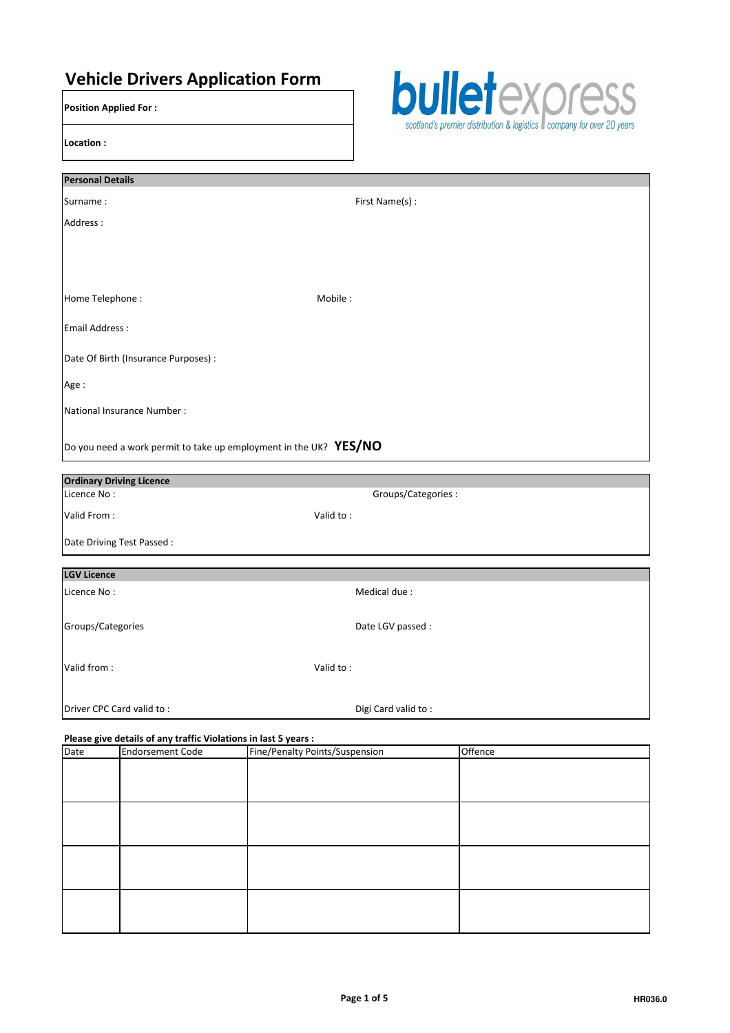# Vehicle Drivers Application Form

Position Applied For :

Location :



| <b>Personal Details</b>                                           |                    |  |  |
|-------------------------------------------------------------------|--------------------|--|--|
| Surname:                                                          | First Name(s) :    |  |  |
| Address:                                                          |                    |  |  |
|                                                                   |                    |  |  |
|                                                                   |                    |  |  |
|                                                                   |                    |  |  |
| Home Telephone:                                                   | Mobile:            |  |  |
| <b>Email Address:</b>                                             |                    |  |  |
| Date Of Birth (Insurance Purposes) :                              |                    |  |  |
| Age:                                                              |                    |  |  |
| National Insurance Number :                                       |                    |  |  |
|                                                                   |                    |  |  |
| Do you need a work permit to take up employment in the UK? YES/NO |                    |  |  |
| <b>Ordinary Driving Licence</b>                                   |                    |  |  |
| Licence No:                                                       | Groups/Categories: |  |  |
| Valid From:                                                       | Valid to:          |  |  |
| Date Driving Test Passed :                                        |                    |  |  |
| <b>LGV Licence</b>                                                |                    |  |  |
| Licence No:                                                       | Medical due:       |  |  |
|                                                                   |                    |  |  |
| Groups/Categories                                                 | Date LGV passed :  |  |  |
|                                                                   |                    |  |  |
| Valid from:                                                       | Valid to:          |  |  |

## Please give details of any traffic Violations in last 5 years :

**Driver CPC Card valid to :**  $D$  Digi Card valid to :

| Date | <b>Endorsement Code</b> | Fine/Penalty Points/Suspension | Offence |  |
|------|-------------------------|--------------------------------|---------|--|
|      |                         |                                |         |  |
|      |                         |                                |         |  |
|      |                         |                                |         |  |
|      |                         |                                |         |  |
|      |                         |                                |         |  |
|      |                         |                                |         |  |
|      |                         |                                |         |  |
|      |                         |                                |         |  |
|      |                         |                                |         |  |
|      |                         |                                |         |  |
|      |                         |                                |         |  |
|      |                         |                                |         |  |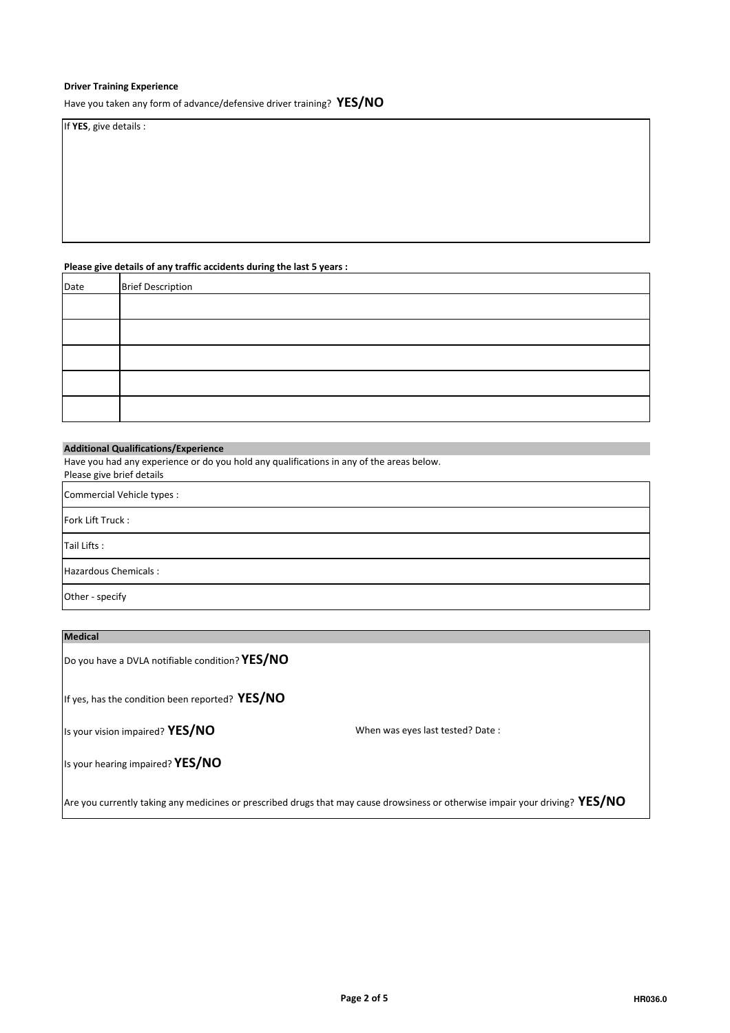# Driver Training Experience

Have you taken any form of advance/defensive driver training? YES/NO

If YES, give details :

## Please give details of any traffic accidents during the last 5 years :

| Date | <b>Brief Description</b> |
|------|--------------------------|
|      |                          |
|      |                          |
|      |                          |
|      |                          |
|      |                          |

## Additional Qualifications/Experience

Have you had any experience or do you hold any qualifications in any of the areas below.

Please give brief details

Commercial Vehicle types :

Fork Lift Truck :

Tail Lifts :

Hazardous Chemicals :

Other - specify

| <b>Medical</b>                                                                                                                |                                  |  |  |
|-------------------------------------------------------------------------------------------------------------------------------|----------------------------------|--|--|
| Do you have a DVLA notifiable condition? YES/NO                                                                               |                                  |  |  |
| If yes, has the condition been reported? YES/NO                                                                               |                                  |  |  |
| Is your vision impaired? YES/NO                                                                                               | When was eyes last tested? Date: |  |  |
| Is your hearing impaired? YES/NO                                                                                              |                                  |  |  |
| Are you currently taking any medicines or prescribed drugs that may cause drowsiness or otherwise impair your driving? YES/NO |                                  |  |  |

 $\overline{\phantom{a}}$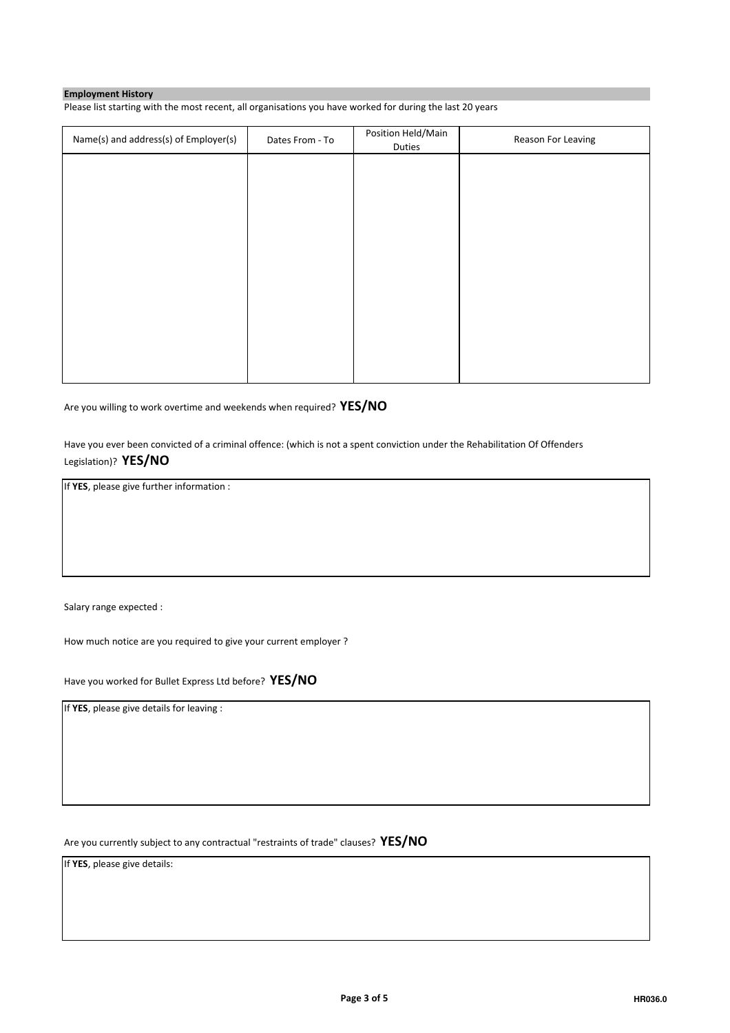## Employment History

Please list starting with the most recent, all organisations you have worked for during the last 20 years

| Name(s) and address(s) of Employer(s) | Dates From - To | Position Held/Main<br>Duties | Reason For Leaving |
|---------------------------------------|-----------------|------------------------------|--------------------|
|                                       |                 |                              |                    |
|                                       |                 |                              |                    |
|                                       |                 |                              |                    |
|                                       |                 |                              |                    |
|                                       |                 |                              |                    |
|                                       |                 |                              |                    |
|                                       |                 |                              |                    |
|                                       |                 |                              |                    |
|                                       |                 |                              |                    |

Are you willing to work overtime and weekends when required? YES/NO

Have you ever been convicted of a criminal offence: (which is not a spent conviction under the Rehabilitation Of Offenders Legislation)? YES/NO

If YES, please give further information :

Salary range expected :

How much notice are you required to give your current employer ?

Have you worked for Bullet Express Ltd before? YES/NO

If YES, please give details for leaving :

Are you currently subject to any contractual "restraints of trade" clauses? YES/NO

If YES, please give details: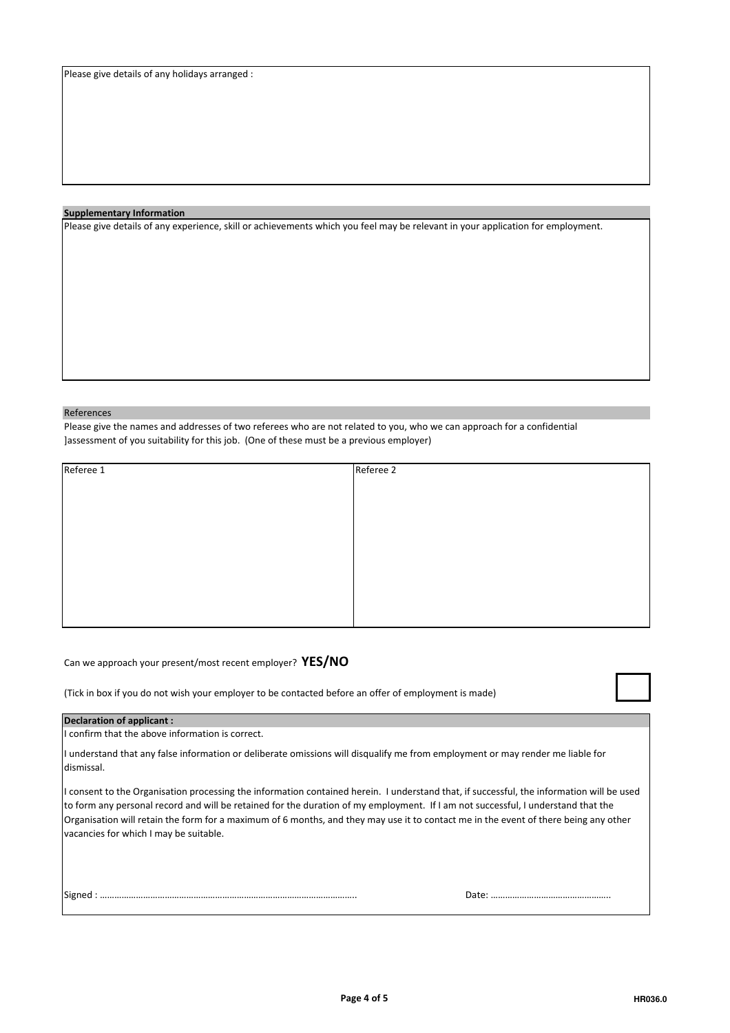#### Supplementary Information

Please give details of any experience, skill or achievements which you feel may be relevant in your application for employment.

#### References

Please give the names and addresses of two referees who are not related to you, who we can approach for a confidential ]assessment of you suitability for this job. (One of these must be a previous employer)

| Referee 1 | Referee 2 |
|-----------|-----------|
|           |           |
|           |           |
|           |           |
|           |           |
|           |           |
|           |           |
|           |           |
|           |           |
|           |           |

Can we approach your present/most recent employer? YES/NO

(Tick in box if you do not wish your employer to be contacted before an offer of employment is made)

#### Declaration of applicant :

I confirm that the above information is correct.

I understand that any false information or deliberate omissions will disqualify me from employment or may render me liable for dismissal.

I consent to the Organisation processing the information contained herein. I understand that, if successful, the information will be used to form any personal record and will be retained for the duration of my employment. If I am not successful, I understand that the Organisation will retain the form for a maximum of 6 months, and they may use it to contact me in the event of there being any other vacancies for which I may be suitable.

Signed : …………………………………………………………………………………………….. Date: …………………………………………..